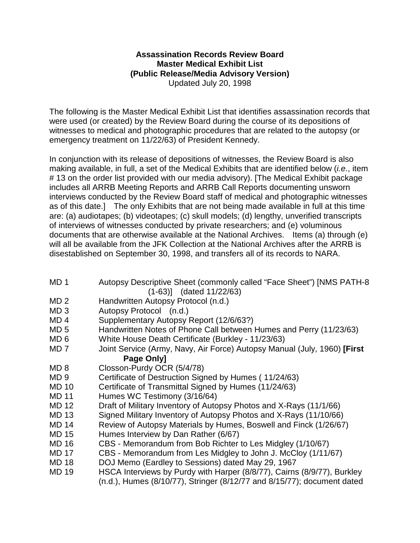## **Assassination Records Review Board Master Medical Exhibit List (Public Release/Media Advisory Version)** Updated July 20, 1998

The following is the Master Medical Exhibit List that identifies assassination records that were used (or created) by the Review Board during the course of its depositions of witnesses to medical and photographic procedures that are related to the autopsy (or emergency treatment on 11/22/63) of President Kennedy.

In conjunction with its release of depositions of witnesses, the Review Board is also making available, in full, a set of the Medical Exhibits that are identified below (*i.e.*, item # 13 on the order list provided with our media advisory). [The Medical Exhibit package includes all ARRB Meeting Reports and ARRB Call Reports documenting unsworn interviews conducted by the Review Board staff of medical and photographic witnesses as of this date.] The only Exhibits that are not being made available in full at this time are: (a) audiotapes; (b) videotapes; (c) skull models; (d) lengthy, unverified transcripts of interviews of witnesses conducted by private researchers; and (e) voluminous documents that are otherwise available at the National Archives. Items (a) through (e) will all be available from the JFK Collection at the National Archives after the ARRB is disestablished on September 30, 1998, and transfers all of its records to NARA.

- MD 1 Autopsy Descriptive Sheet (commonly called "Face Sheet") [NMS PATH-8 (1-63)] (dated 11/22/63)
- MD 2 Handwritten Autopsy Protocol (n.d.)
- MD 3 Autopsy Protocol (n.d.)
- MD 4 Supplementary Autopsy Report (12/6/63?)
- MD 5 Handwritten Notes of Phone Call between Humes and Perry (11/23/63)
- MD 6 White House Death Certificate (Burkley 11/23/63)
- MD 7 Joint Service (Army, Navy, Air Force) Autopsy Manual (July, 1960) **[First Page Only]**
- MD 8 Closson-Purdy OCR (5/4/78)
- MD 9 Certificate of Destruction Signed by Humes (11/24/63)
- MD 10 Certificate of Transmittal Signed by Humes (11/24/63)
- MD 11 Humes WC Testimony (3/16/64)
- MD 12 Draft of Military Inventory of Autopsy Photos and X-Rays (11/1/66)
- MD 13 Signed Military Inventory of Autopsy Photos and X-Rays (11/10/66)
- MD 14 Review of Autopsy Materials by Humes, Boswell and Finck (1/26/67)
- MD 15 Humes Interview by Dan Rather (6/67)
- MD 16 CBS Memorandum from Bob Richter to Les Midgley (1/10/67)
- MD 17 CBS Memorandum from Les Midgley to John J. McCloy (1/11/67)
- MD 18 DOJ Memo (Eardley to Sessions) dated May 29, 1967
- MD 19 HSCA Interviews by Purdy with Harper (8/8/77), Cairns (8/9/77), Burkley (n.d.), Humes (8/10/77), Stringer (8/12/77 and 8/15/77); document dated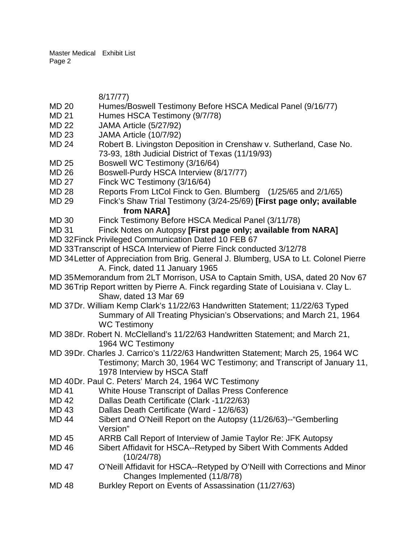8/17/77)

- MD 20 Humes/Boswell Testimony Before HSCA Medical Panel (9/16/77)
- MD 21 Humes HSCA Testimony (9/7/78)
- MD 22 JAMA Article (5/27/92)
- MD 23 JAMA Article (10/7/92)
- MD 24 Robert B. Livingston Deposition in Crenshaw v. Sutherland, Case No. 73-93, 18th Judicial District of Texas (11/19/93)
- MD 25 Boswell WC Testimony (3/16/64)
- MD 26 Boswell-Purdy HSCA Interview (8/17/77)
- MD 27 Finck WC Testimony (3/16/64)
- MD 28 Reports From LtCol Finck to Gen. Blumberg (1/25/65 and 2/1/65)
- MD 29 Finck's Shaw Trial Testimony (3/24-25/69) **[First page only; available from NARA]**
- MD 30 Finck Testimony Before HSCA Medical Panel (3/11/78)
- MD 31 Finck Notes on Autopsy **[First page only; available from NARA]**
- MD 32Finck Privileged Communication Dated 10 FEB 67
- MD 33Transcript of HSCA Interview of Pierre Finck conducted 3/12/78
- MD 34Letter of Appreciation from Brig. General J. Blumberg, USA to Lt. Colonel Pierre A. Finck, dated 11 January 1965
- MD 35Memorandum from 2LT Morrison, USA to Captain Smith, USA, dated 20 Nov 67
- MD 36Trip Report written by Pierre A. Finck regarding State of Louisiana v. Clay L. Shaw, dated 13 Mar 69
- MD 37Dr. William Kemp Clark's 11/22/63 Handwritten Statement; 11/22/63 Typed Summary of All Treating Physician's Observations; and March 21, 1964 WC Testimony
- MD 38Dr. Robert N. McClelland's 11/22/63 Handwritten Statement; and March 21, 1964 WC Testimony
- MD 39Dr. Charles J. Carrico's 11/22/63 Handwritten Statement; March 25, 1964 WC Testimony; March 30, 1964 WC Testimony; and Transcript of January 11, 1978 Interview by HSCA Staff
- MD 40Dr. Paul C. Peters' March 24, 1964 WC Testimony
- MD 41 White House Transcript of Dallas Press Conference
- MD 42 Dallas Death Certificate (Clark -11/22/63)
- MD 43 Dallas Death Certificate (Ward 12/6/63)
- MD 44 Sibert and O'Neill Report on the Autopsy (11/26/63)--"Gemberling Version"
- MD 45 ARRB Call Report of Interview of Jamie Taylor Re: JFK Autopsy
- MD 46 Sibert Affidavit for HSCA--Retyped by Sibert With Comments Added (10/24/78)
- MD 47 O'Neill Affidavit for HSCA--Retyped by O'Neill with Corrections and Minor Changes Implemented (11/8/78)
- MD 48 Burkley Report on Events of Assassination (11/27/63)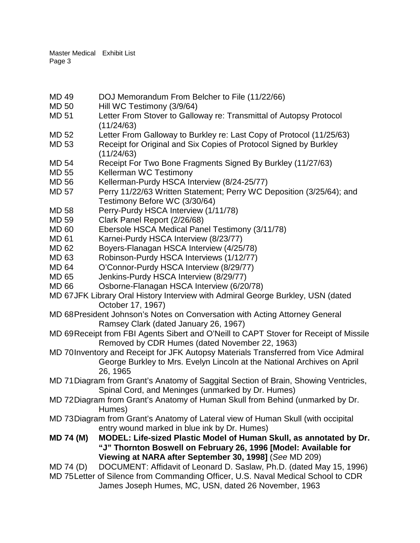- MD 49 DOJ Memorandum From Belcher to File (11/22/66)
- MD 50 Hill WC Testimony (3/9/64)
- MD 51 Letter From Stover to Galloway re: Transmittal of Autopsy Protocol (11/24/63)
- MD 52 Letter From Galloway to Burkley re: Last Copy of Protocol (11/25/63)
- MD 53 Receipt for Original and Six Copies of Protocol Signed by Burkley (11/24/63)
- MD 54 Receipt For Two Bone Fragments Signed By Burkley (11/27/63)<br>MD 55 Kellerman WC Testimony
- Kellerman WC Testimony
- MD 56 Kellerman-Purdy HSCA Interview (8/24-25/77)
- MD 57 Perry 11/22/63 Written Statement; Perry WC Deposition (3/25/64); and Testimony Before WC (3/30/64)
- MD 58 Perry-Purdy HSCA Interview (1/11/78)
- MD 59 Clark Panel Report (2/26/68)
- MD 60 Ebersole HSCA Medical Panel Testimony (3/11/78)
- MD 61 Karnei-Purdy HSCA Interview (8/23/77)
- MD 62 Boyers-Flanagan HSCA Interview (4/25/78)
- MD 63 Robinson-Purdy HSCA Interviews (1/12/77)
- MD 64 O'Connor-Purdy HSCA Interview (8/29/77)
- MD 65 Jenkins-Purdy HSCA Interview (8/29/77)
- MD 66 Osborne-Flanagan HSCA Interview (6/20/78)
- MD 67JFK Library Oral History Interview with Admiral George Burkley, USN (dated October 17, 1967)
- MD 68President Johnson's Notes on Conversation with Acting Attorney General Ramsey Clark (dated January 26, 1967)
- MD 69Receipt from FBI Agents Sibert and O'Neill to CAPT Stover for Receipt of Missile Removed by CDR Humes (dated November 22, 1963)
- MD 70Inventory and Receipt for JFK Autopsy Materials Transferred from Vice Admiral George Burkley to Mrs. Evelyn Lincoln at the National Archives on April 26, 1965
- MD 71Diagram from Grant's Anatomy of Saggital Section of Brain, Showing Ventricles, Spinal Cord, and Meninges (unmarked by Dr. Humes)
- MD 72Diagram from Grant's Anatomy of Human Skull from Behind (unmarked by Dr. Humes)
- MD 73Diagram from Grant's Anatomy of Lateral view of Human Skull (with occipital entry wound marked in blue ink by Dr. Humes)
- **MD 74 (M) MODEL: Life-sized Plastic Model of Human Skull, as annotated by Dr. "J" Thornton Boswell on February 26, 1996 [Model: Available for Viewing at NARA after September 30, 1998]** (*See* MD 209)
- MD 74 (D) DOCUMENT: Affidavit of Leonard D. Saslaw, Ph.D. (dated May 15, 1996)
- MD 75Letter of Silence from Commanding Officer, U.S. Naval Medical School to CDR James Joseph Humes, MC, USN, dated 26 November, 1963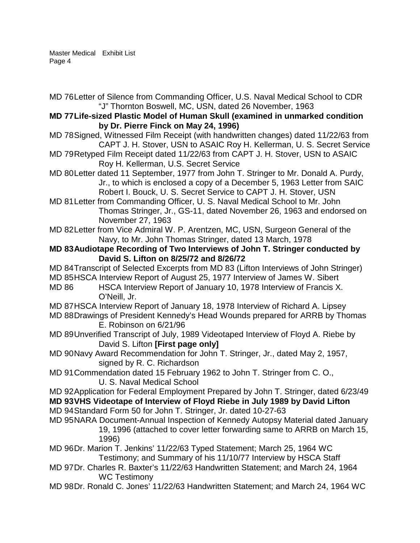- MD 76Letter of Silence from Commanding Officer, U.S. Naval Medical School to CDR "J" Thornton Boswell, MC, USN, dated 26 November, 1963
- **MD 77Life-sized Plastic Model of Human Skull (examined in unmarked condition by Dr. Pierre Finck on May 24, 1996)**
- MD 78Signed, Witnessed Film Receipt (with handwritten changes) dated 11/22/63 from CAPT J. H. Stover, USN to ASAIC Roy H. Kellerman, U. S. Secret Service
- MD 79Retyped Film Receipt dated 11/22/63 from CAPT J. H. Stover, USN to ASAIC Roy H. Kellerman, U.S. Secret Service
- MD 80Letter dated 11 September, 1977 from John T. Stringer to Mr. Donald A. Purdy, Jr., to which is enclosed a copy of a December 5, 1963 Letter from SAIC Robert I. Bouck, U. S. Secret Service to CAPT J. H. Stover, USN
- MD 81Letter from Commanding Officer, U. S. Naval Medical School to Mr. John Thomas Stringer, Jr., GS-11, dated November 26, 1963 and endorsed on November 27, 1963
- MD 82Letter from Vice Admiral W. P. Arentzen, MC, USN, Surgeon General of the Navy, to Mr. John Thomas Stringer, dated 13 March, 1978
- **MD 83Audiotape Recording of Two Interviews of John T. Stringer conducted by David S. Lifton on 8/25/72 and 8/26/72**
- MD 84Transcript of Selected Excerpts from MD 83 (Lifton Interviews of John Stringer)
- MD 85HSCA Interview Report of August 25, 1977 Interview of James W. Sibert
- MD 86 HSCA Interview Report of January 10, 1978 Interview of Francis X. O'Neill, Jr.
- MD 87HSCA Interview Report of January 18, 1978 Interview of Richard A. Lipsey
- MD 88Drawings of President Kennedy's Head Wounds prepared for ARRB by Thomas E. Robinson on 6/21/96
- MD 89Unverified Transcript of July, 1989 Videotaped Interview of Floyd A. Riebe by David S. Lifton **[First page only]**
- MD 90Navy Award Recommendation for John T. Stringer, Jr., dated May 2, 1957, signed by R. C. Richardson
- MD 91Commendation dated 15 February 1962 to John T. Stringer from C. O., U. S. Naval Medical School
- MD 92Application for Federal Employment Prepared by John T. Stringer, dated 6/23/49 **MD 93VHS Videotape of Interview of Floyd Riebe in July 1989 by David Lifton**
- MD 94Standard Form 50 for John T. Stringer, Jr. dated 10-27-63
- MD 95NARA Document-Annual Inspection of Kennedy Autopsy Material dated January 19, 1996 (attached to cover letter forwarding same to ARRB on March 15, 1996)
- MD 96Dr. Marion T. Jenkins' 11/22/63 Typed Statement; March 25, 1964 WC Testimony; and Summary of his 11/10/77 Interview by HSCA Staff
- MD 97Dr. Charles R. Baxter's 11/22/63 Handwritten Statement; and March 24, 1964 WC Testimony
- MD 98Dr. Ronald C. Jones' 11/22/63 Handwritten Statement; and March 24, 1964 WC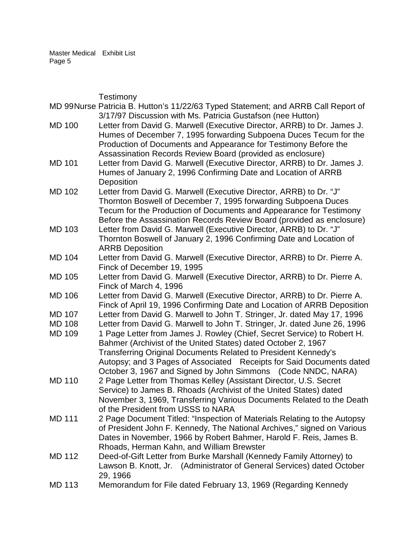|  |               | Testimony                                                                         |
|--|---------------|-----------------------------------------------------------------------------------|
|  |               | MD 99Nurse Patricia B. Hutton's 11/22/63 Typed Statement; and ARRB Call Report of |
|  |               | 3/17/97 Discussion with Ms. Patricia Gustafson (nee Hutton)                       |
|  | <b>MD 100</b> | Letter from David G. Marwell (Executive Director, ARRB) to Dr. James J.           |
|  |               | Humes of December 7, 1995 forwarding Subpoena Duces Tecum for the                 |
|  |               | Production of Documents and Appearance for Testimony Before the                   |
|  |               | Assassination Records Review Board (provided as enclosure)                        |
|  | <b>MD 101</b> | Letter from David G. Marwell (Executive Director, ARRB) to Dr. James J.           |
|  |               | Humes of January 2, 1996 Confirming Date and Location of ARRB                     |
|  |               | Deposition                                                                        |
|  | <b>MD 102</b> | Letter from David G. Marwell (Executive Director, ARRB) to Dr. "J"                |
|  |               | Thornton Boswell of December 7, 1995 forwarding Subpoena Duces                    |
|  |               | Tecum for the Production of Documents and Appearance for Testimony                |
|  |               | Before the Assassination Records Review Board (provided as enclosure)             |
|  | <b>MD 103</b> | Letter from David G. Marwell (Executive Director, ARRB) to Dr. "J"                |
|  |               | Thornton Boswell of January 2, 1996 Confirming Date and Location of               |
|  |               | <b>ARRB Deposition</b>                                                            |
|  | <b>MD 104</b> | Letter from David G. Marwell (Executive Director, ARRB) to Dr. Pierre A.          |
|  |               | Finck of December 19, 1995                                                        |
|  | <b>MD 105</b> | Letter from David G. Marwell (Executive Director, ARRB) to Dr. Pierre A.          |
|  |               | Finck of March 4, 1996                                                            |
|  | <b>MD 106</b> | Letter from David G. Marwell (Executive Director, ARRB) to Dr. Pierre A.          |
|  |               | Finck of April 19, 1996 Confirming Date and Location of ARRB Deposition           |
|  | <b>MD 107</b> | Letter from David G. Marwell to John T. Stringer, Jr. dated May 17, 1996          |
|  | <b>MD 108</b> | Letter from David G. Marwell to John T. Stringer, Jr. dated June 26, 1996         |
|  | <b>MD 109</b> | 1 Page Letter from James J. Rowley (Chief, Secret Service) to Robert H.           |
|  |               | Bahmer (Archivist of the United States) dated October 2, 1967                     |
|  |               | Transferring Original Documents Related to President Kennedy's                    |
|  |               | Autopsy; and 3 Pages of Associated Receipts for Said Documents dated              |
|  |               | October 3, 1967 and Signed by John Simmons (Code NNDC, NARA)                      |
|  | <b>MD 110</b> | 2 Page Letter from Thomas Kelley (Assistant Director, U.S. Secret                 |
|  |               | Service) to James B. Rhoads (Archivist of the United States) dated                |
|  |               | November 3, 1969, Transferring Various Documents Related to the Death             |
|  |               | of the President from USSS to NARA                                                |
|  | <b>MD 111</b> | 2 Page Document Titled: "Inspection of Materials Relating to the Autopsy          |
|  |               | of President John F. Kennedy, The National Archives," signed on Various           |
|  |               | Dates in November, 1966 by Robert Bahmer, Harold F. Reis, James B.                |
|  |               | Rhoads, Herman Kahn, and William Brewster                                         |
|  | <b>MD 112</b> | Deed-of-Gift Letter from Burke Marshall (Kennedy Family Attorney) to              |
|  |               | Lawson B. Knott, Jr. (Administrator of General Services) dated October            |
|  |               | 29, 1966                                                                          |
|  | <b>MD 113</b> | Memorandum for File dated February 13, 1969 (Regarding Kennedy                    |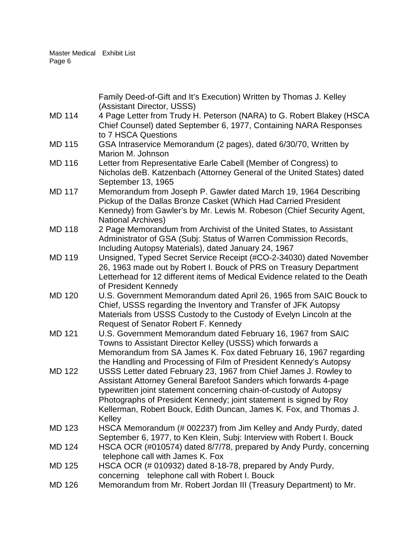|               | Family Deed-of-Gift and It's Execution) Written by Thomas J. Kelley<br>(Assistant Director, USSS)                                                                                                                                                                                                                                                                  |
|---------------|--------------------------------------------------------------------------------------------------------------------------------------------------------------------------------------------------------------------------------------------------------------------------------------------------------------------------------------------------------------------|
| <b>MD 114</b> | 4 Page Letter from Trudy H. Peterson (NARA) to G. Robert Blakey (HSCA<br>Chief Counsel) dated September 6, 1977, Containing NARA Responses<br>to 7 HSCA Questions                                                                                                                                                                                                  |
| <b>MD 115</b> | GSA Intraservice Memorandum (2 pages), dated 6/30/70, Written by<br>Marion M. Johnson                                                                                                                                                                                                                                                                              |
| <b>MD 116</b> | Letter from Representative Earle Cabell (Member of Congress) to<br>Nicholas deB. Katzenbach (Attorney General of the United States) dated<br>September 13, 1965                                                                                                                                                                                                    |
| <b>MD 117</b> | Memorandum from Joseph P. Gawler dated March 19, 1964 Describing<br>Pickup of the Dallas Bronze Casket (Which Had Carried President<br>Kennedy) from Gawler's by Mr. Lewis M. Robeson (Chief Security Agent,<br><b>National Archives)</b>                                                                                                                          |
| <b>MD 118</b> | 2 Page Memorandum from Archivist of the United States, to Assistant<br>Administrator of GSA (Subj: Status of Warren Commission Records,<br>Including Autopsy Materials), dated January 24, 1967                                                                                                                                                                    |
| <b>MD 119</b> | Unsigned, Typed Secret Service Receipt (#CO-2-34030) dated November<br>26, 1963 made out by Robert I. Bouck of PRS on Treasury Department<br>Letterhead for 12 different items of Medical Evidence related to the Death<br>of President Kennedy                                                                                                                    |
| <b>MD 120</b> | U.S. Government Memorandum dated April 26, 1965 from SAIC Bouck to<br>Chief, USSS regarding the Inventory and Transfer of JFK Autopsy<br>Materials from USSS Custody to the Custody of Evelyn Lincoln at the<br>Request of Senator Robert F. Kennedy                                                                                                               |
| <b>MD 121</b> | U.S. Government Memorandum dated February 16, 1967 from SAIC<br>Towns to Assistant Director Kelley (USSS) which forwards a<br>Memorandum from SA James K. Fox dated February 16, 1967 regarding<br>the Handling and Processing of Film of President Kennedy's Autopsy                                                                                              |
| <b>MD 122</b> | USSS Letter dated February 23, 1967 from Chief James J. Rowley to<br>Assistant Attorney General Barefoot Sanders which forwards 4-page<br>typewritten joint statement concerning chain-of-custody of Autopsy<br>Photographs of President Kennedy; joint statement is signed by Roy<br>Kellerman, Robert Bouck, Edith Duncan, James K. Fox, and Thomas J.<br>Kelley |
| MD 123        | HSCA Memorandum (# 002237) from Jim Kelley and Andy Purdy, dated<br>September 6, 1977, to Ken Klein, Subj: Interview with Robert I. Bouck                                                                                                                                                                                                                          |
| <b>MD 124</b> | HSCA OCR (#010574) dated 8/7/78, prepared by Andy Purdy, concerning<br>telephone call with James K. Fox                                                                                                                                                                                                                                                            |
| MD 125        | HSCA OCR (# 010932) dated 8-18-78, prepared by Andy Purdy,<br>concerning telephone call with Robert I. Bouck                                                                                                                                                                                                                                                       |
| <b>MD 126</b> | Memorandum from Mr. Robert Jordan III (Treasury Department) to Mr.                                                                                                                                                                                                                                                                                                 |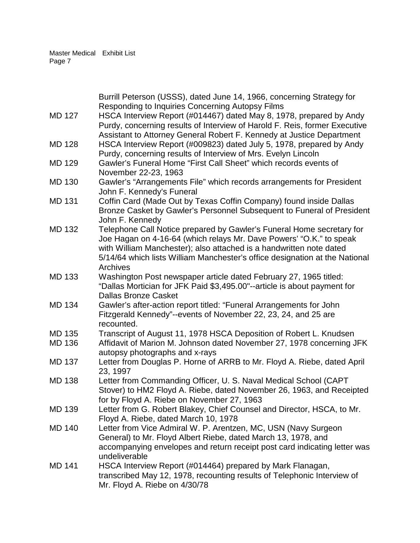|                                | Burrill Peterson (USSS), dated June 14, 1966, concerning Strategy for<br>Responding to Inquiries Concerning Autopsy Films                                                                                                                                                                                      |
|--------------------------------|----------------------------------------------------------------------------------------------------------------------------------------------------------------------------------------------------------------------------------------------------------------------------------------------------------------|
| <b>MD 127</b>                  | HSCA Interview Report (#014467) dated May 8, 1978, prepared by Andy<br>Purdy, concerning results of Interview of Harold F. Reis, former Executive<br>Assistant to Attorney General Robert F. Kennedy at Justice Department                                                                                     |
| <b>MD 128</b>                  | HSCA Interview Report (#009823) dated July 5, 1978, prepared by Andy<br>Purdy, concerning results of Interview of Mrs. Evelyn Lincoln                                                                                                                                                                          |
| <b>MD 129</b>                  | Gawler's Funeral Home "First Call Sheet" which records events of<br>November 22-23, 1963                                                                                                                                                                                                                       |
| <b>MD 130</b>                  | Gawler's "Arrangements File" which records arrangements for President<br>John F. Kennedy's Funeral                                                                                                                                                                                                             |
| <b>MD 131</b>                  | Coffin Card (Made Out by Texas Coffin Company) found inside Dallas<br>Bronze Casket by Gawler's Personnel Subsequent to Funeral of President<br>John F. Kennedy                                                                                                                                                |
| <b>MD 132</b>                  | Telephone Call Notice prepared by Gawler's Funeral Home secretary for<br>Joe Hagan on 4-16-64 (which relays Mr. Dave Powers' "O.K." to speak<br>with William Manchester); also attached is a handwritten note dated<br>5/14/64 which lists William Manchester's office designation at the National<br>Archives |
| <b>MD 133</b>                  | Washington Post newspaper article dated February 27, 1965 titled:<br>"Dallas Mortician for JFK Paid \$3,495.00"--article is about payment for<br><b>Dallas Bronze Casket</b>                                                                                                                                   |
| <b>MD 134</b>                  | Gawler's after-action report titled: "Funeral Arrangements for John<br>Fitzgerald Kennedy"--events of November 22, 23, 24, and 25 are<br>recounted.                                                                                                                                                            |
| <b>MD 135</b><br><b>MD 136</b> | Transcript of August 11, 1978 HSCA Deposition of Robert L. Knudsen<br>Affidavit of Marion M. Johnson dated November 27, 1978 concerning JFK                                                                                                                                                                    |
|                                | autopsy photographs and x-rays                                                                                                                                                                                                                                                                                 |
| <b>MD 137</b>                  | Letter from Douglas P. Horne of ARRB to Mr. Floyd A. Riebe, dated April<br>23, 1997                                                                                                                                                                                                                            |
| <b>MD 138</b>                  | Letter from Commanding Officer, U. S. Naval Medical School (CAPT<br>Stover) to HM2 Floyd A. Riebe, dated November 26, 1963, and Receipted<br>for by Floyd A. Riebe on November 27, 1963                                                                                                                        |
| MD 139                         | Letter from G. Robert Blakey, Chief Counsel and Director, HSCA, to Mr.<br>Floyd A. Riebe, dated March 10, 1978                                                                                                                                                                                                 |
| <b>MD 140</b>                  | Letter from Vice Admiral W. P. Arentzen, MC, USN (Navy Surgeon<br>General) to Mr. Floyd Albert Riebe, dated March 13, 1978, and<br>accompanying envelopes and return receipt post card indicating letter was<br>undeliverable                                                                                  |
| <b>MD 141</b>                  | HSCA Interview Report (#014464) prepared by Mark Flanagan,<br>transcribed May 12, 1978, recounting results of Telephonic Interview of<br>Mr. Floyd A. Riebe on 4/30/78                                                                                                                                         |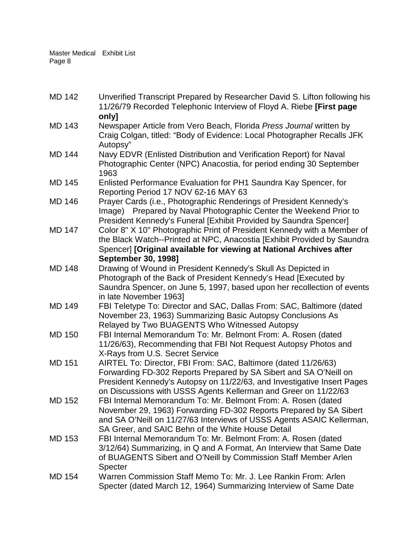MD 142 Unverified Transcript Prepared by Researcher David S. Lifton following his 11/26/79 Recorded Telephonic Interview of Floyd A. Riebe **[First page only]** MD 143 Newspaper Article from Vero Beach, Florida *Press Journal* written by Craig Colgan, titled: "Body of Evidence: Local Photographer Recalls JFK Autopsy" MD 144 Navy EDVR (Enlisted Distribution and Verification Report) for Naval Photographic Center (NPC) Anacostia, for period ending 30 September 1963 MD 145 Enlisted Performance Evaluation for PH1 Saundra Kay Spencer, for Reporting Period 17 NOV 62-16 MAY 63 MD 146 Prayer Cards (i.e., Photographic Renderings of President Kennedy's Image) Prepared by Naval Photographic Center the Weekend Prior to President Kennedy's Funeral [Exhibit Provided by Saundra Spencer] MD 147 Color 8" X 10" Photographic Print of President Kennedy with a Member of the Black Watch--Printed at NPC, Anacostia [Exhibit Provided by Saundra Spencer] **[Original available for viewing at National Archives after September 30, 1998]** MD 148 Drawing of Wound in President Kennedy's Skull As Depicted in Photograph of the Back of President Kennedy's Head [Executed by Saundra Spencer, on June 5, 1997, based upon her recollection of events in late November 1963] MD 149 FBI Teletype To: Director and SAC, Dallas From: SAC, Baltimore (dated November 23, 1963) Summarizing Basic Autopsy Conclusions As Relayed by Two BUAGENTS Who Witnessed Autopsy MD 150 FBI Internal Memorandum To: Mr. Belmont From: A. Rosen (dated 11/26/63), Recommending that FBI Not Request Autopsy Photos and X-Rays from U.S. Secret Service MD 151 AIRTEL To: Director, FBI From: SAC, Baltimore (dated 11/26/63) Forwarding FD-302 Reports Prepared by SA Sibert and SA O'Neill on President Kennedy's Autopsy on 11/22/63, and Investigative Insert Pages on Discussions with USSS Agents Kellerman and Greer on 11/22/63 MD 152 FBI Internal Memorandum To: Mr. Belmont From: A. Rosen (dated November 29, 1963) Forwarding FD-302 Reports Prepared by SA Sibert and SA O'Neill on 11/27/63 Interviews of USSS Agents ASAIC Kellerman, SA Greer, and SAIC Behn of the White House Detail MD 153 FBI Internal Memorandum To: Mr. Belmont From: A. Rosen (dated 3/12/64) Summarizing, in Q and A Format, An Interview that Same Date of BUAGENTS Sibert and O'Neill by Commission Staff Member Arlen **Specter** MD 154 Warren Commission Staff Memo To: Mr. J. Lee Rankin From: Arlen Specter (dated March 12, 1964) Summarizing Interview of Same Date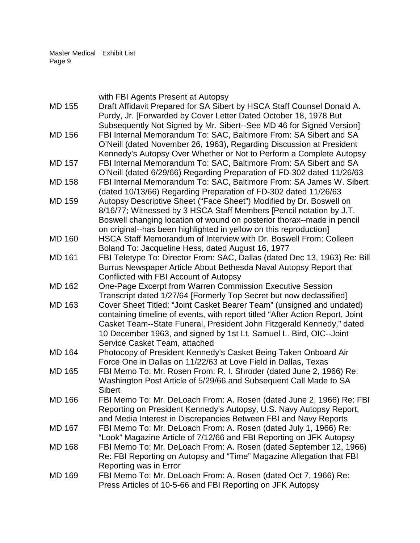|               | with FBI Agents Present at Autopsy                                            |
|---------------|-------------------------------------------------------------------------------|
| <b>MD 155</b> | Draft Affidavit Prepared for SA Sibert by HSCA Staff Counsel Donald A.        |
|               | Purdy, Jr. [Forwarded by Cover Letter Dated October 18, 1978 But              |
|               | Subsequently Not Signed by Mr. Sibert--See MD 46 for Signed Version]          |
| <b>MD 156</b> | FBI Internal Memorandum To: SAC, Baltimore From: SA Sibert and SA             |
|               | O'Neill (dated November 26, 1963), Regarding Discussion at President          |
|               | Kennedy's Autopsy Over Whether or Not to Perform a Complete Autopsy           |
| <b>MD 157</b> | FBI Internal Memorandum To: SAC, Baltimore From: SA Sibert and SA             |
|               | O'Neill (dated 6/29/66) Regarding Preparation of FD-302 dated 11/26/63        |
| <b>MD 158</b> | FBI Internal Memorandum To: SAC, Baltimore From: SA James W. Sibert           |
|               | (dated 10/13/66) Regarding Preparation of FD-302 dated 11/26/63               |
| <b>MD 159</b> | Autopsy Descriptive Sheet ("Face Sheet") Modified by Dr. Boswell on           |
|               |                                                                               |
|               | 8/16/77; Witnessed by 3 HSCA Staff Members [Pencil notation by J.T.           |
|               | Boswell changing location of wound on posterior thorax--made in pencil        |
|               | on original--has been highlighted in yellow on this reproduction]             |
| <b>MD 160</b> | HSCA Staff Memorandum of Interview with Dr. Boswell From: Colleen             |
|               | Boland To: Jacqueline Hess, dated August 16, 1977                             |
| <b>MD 161</b> | FBI Teletype To: Director From: SAC, Dallas (dated Dec 13, 1963) Re: Bill     |
|               | Burrus Newspaper Article About Bethesda Naval Autopsy Report that             |
|               | Conflicted with FBI Account of Autopsy                                        |
| <b>MD 162</b> | One-Page Excerpt from Warren Commission Executive Session                     |
|               | Transcript dated 1/27/64 [Formerly Top Secret but now declassified]           |
| <b>MD 163</b> | Cover Sheet Titled: "Joint Casket Bearer Team" (unsigned and undated)         |
|               | containing timeline of events, with report titled "After Action Report, Joint |
|               | Casket Team--State Funeral, President John Fitzgerald Kennedy," dated         |
|               | 10 December 1963, and signed by 1st Lt. Samuel L. Bird, OIC--Joint            |
|               | Service Casket Team, attached                                                 |
| <b>MD 164</b> | Photocopy of President Kennedy's Casket Being Taken Onboard Air               |
|               | Force One in Dallas on 11/22/63 at Love Field in Dallas, Texas                |
| <b>MD 165</b> | FBI Memo To: Mr. Rosen From: R. I. Shroder (dated June 2, 1966) Re:           |
|               | Washington Post Article of 5/29/66 and Subsequent Call Made to SA             |
|               | <b>Sibert</b>                                                                 |
| <b>MD 166</b> | FBI Memo To: Mr. DeLoach From: A. Rosen (dated June 2, 1966) Re: FBI          |
|               | Reporting on President Kennedy's Autopsy, U.S. Navy Autopsy Report,           |
|               | and Media Interest in Discrepancies Between FBI and Navy Reports              |
| <b>MD 167</b> | FBI Memo To: Mr. DeLoach From: A. Rosen (dated July 1, 1966) Re:              |
|               | "Look" Magazine Article of 7/12/66 and FBI Reporting on JFK Autopsy           |
| <b>MD 168</b> | FBI Memo To: Mr. DeLoach From: A. Rosen (dated September 12, 1966)            |
|               | Re: FBI Reporting on Autopsy and "Time" Magazine Allegation that FBI          |
|               | Reporting was in Error                                                        |
| <b>MD 169</b> | FBI Memo To: Mr. DeLoach From: A. Rosen (dated Oct 7, 1966) Re:               |
|               | Press Articles of 10-5-66 and FBI Reporting on JFK Autopsy                    |
|               |                                                                               |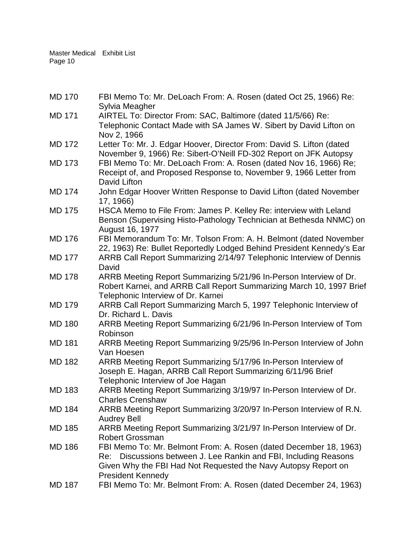| <b>MD 170</b> | FBI Memo To: Mr. DeLoach From: A. Rosen (dated Oct 25, 1966) Re:<br>Sylvia Meagher                                                                                                                                                     |
|---------------|----------------------------------------------------------------------------------------------------------------------------------------------------------------------------------------------------------------------------------------|
| <b>MD 171</b> | AIRTEL To: Director From: SAC, Baltimore (dated 11/5/66) Re:<br>Telephonic Contact Made with SA James W. Sibert by David Lifton on<br>Nov 2, 1966                                                                                      |
| <b>MD 172</b> | Letter To: Mr. J. Edgar Hoover, Director From: David S. Lifton (dated<br>November 9, 1966) Re: Sibert-O'Neill FD-302 Report on JFK Autopsy                                                                                             |
| <b>MD 173</b> | FBI Memo To: Mr. DeLoach From: A. Rosen (dated Nov 16, 1966) Re;<br>Receipt of, and Proposed Response to, November 9, 1966 Letter from<br>David Lifton                                                                                 |
| <b>MD 174</b> | John Edgar Hoover Written Response to David Lifton (dated November<br>17, 1966)                                                                                                                                                        |
| <b>MD 175</b> | HSCA Memo to File From: James P. Kelley Re: interview with Leland<br>Benson (Supervising Histo-Pathology Technician at Bethesda NNMC) on<br>August 16, 1977                                                                            |
| <b>MD 176</b> | FBI Memorandum To: Mr. Tolson From: A. H. Belmont (dated November<br>22, 1963) Re: Bullet Reportedly Lodged Behind President Kennedy's Ear                                                                                             |
| <b>MD 177</b> | ARRB Call Report Summarizing 2/14/97 Telephonic Interview of Dennis<br>David                                                                                                                                                           |
| <b>MD 178</b> | ARRB Meeting Report Summarizing 5/21/96 In-Person Interview of Dr.<br>Robert Karnei, and ARRB Call Report Summarizing March 10, 1997 Brief<br>Telephonic Interview of Dr. Karnei                                                       |
| <b>MD 179</b> | ARRB Call Report Summarizing March 5, 1997 Telephonic Interview of<br>Dr. Richard L. Davis                                                                                                                                             |
| <b>MD 180</b> | ARRB Meeting Report Summarizing 6/21/96 In-Person Interview of Tom<br>Robinson                                                                                                                                                         |
| <b>MD 181</b> | ARRB Meeting Report Summarizing 9/25/96 In-Person Interview of John<br>Van Hoesen                                                                                                                                                      |
| <b>MD 182</b> | ARRB Meeting Report Summarizing 5/17/96 In-Person Interview of<br>Joseph E. Hagan, ARRB Call Report Summarizing 6/11/96 Brief<br>Telephonic Interview of Joe Hagan                                                                     |
| <b>MD 183</b> | ARRB Meeting Report Summarizing 3/19/97 In-Person Interview of Dr.<br><b>Charles Crenshaw</b>                                                                                                                                          |
| <b>MD 184</b> | ARRB Meeting Report Summarizing 3/20/97 In-Person Interview of R.N.<br><b>Audrey Bell</b>                                                                                                                                              |
| <b>MD 185</b> | ARRB Meeting Report Summarizing 3/21/97 In-Person Interview of Dr.<br><b>Robert Grossman</b>                                                                                                                                           |
| <b>MD 186</b> | FBI Memo To: Mr. Belmont From: A. Rosen (dated December 18, 1963)<br>Discussions between J. Lee Rankin and FBI, Including Reasons<br>Re:<br>Given Why the FBI Had Not Requested the Navy Autopsy Report on<br><b>President Kennedy</b> |
| <b>MD 187</b> | FBI Memo To: Mr. Belmont From: A. Rosen (dated December 24, 1963)                                                                                                                                                                      |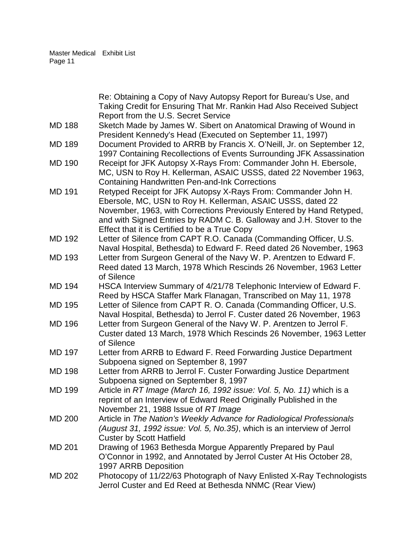|               | Re: Obtaining a Copy of Navy Autopsy Report for Bureau's Use, and<br>Taking Credit for Ensuring That Mr. Rankin Had Also Received Subject<br>Report from the U.S. Secret Service                                                                                                                                                |
|---------------|---------------------------------------------------------------------------------------------------------------------------------------------------------------------------------------------------------------------------------------------------------------------------------------------------------------------------------|
| <b>MD 188</b> | Sketch Made by James W. Sibert on Anatomical Drawing of Wound in<br>President Kennedy's Head (Executed on September 11, 1997)                                                                                                                                                                                                   |
| <b>MD 189</b> | Document Provided to ARRB by Francis X. O'Neill, Jr. on September 12,<br>1997 Containing Recollections of Events Surrounding JFK Assassination                                                                                                                                                                                  |
| <b>MD 190</b> | Receipt for JFK Autopsy X-Rays From: Commander John H. Ebersole,<br>MC, USN to Roy H. Kellerman, ASAIC USSS, dated 22 November 1963,<br><b>Containing Handwritten Pen-and-Ink Corrections</b>                                                                                                                                   |
| <b>MD 191</b> | Retyped Receipt for JFK Autopsy X-Rays From: Commander John H.<br>Ebersole, MC, USN to Roy H. Kellerman, ASAIC USSS, dated 22<br>November, 1963, with Corrections Previously Entered by Hand Retyped,<br>and with Signed Entries by RADM C. B. Galloway and J.H. Stover to the<br>Effect that it is Certified to be a True Copy |
| <b>MD 192</b> | Letter of Silence from CAPT R.O. Canada (Commanding Officer, U.S.<br>Naval Hospital, Bethesda) to Edward F. Reed dated 26 November, 1963                                                                                                                                                                                        |
| <b>MD 193</b> | Letter from Surgeon General of the Navy W. P. Arentzen to Edward F.<br>Reed dated 13 March, 1978 Which Rescinds 26 November, 1963 Letter<br>of Silence                                                                                                                                                                          |
| <b>MD 194</b> | HSCA Interview Summary of 4/21/78 Telephonic Interview of Edward F.<br>Reed by HSCA Staffer Mark Flanagan, Transcribed on May 11, 1978                                                                                                                                                                                          |
| <b>MD 195</b> | Letter of Silence from CAPT R. O. Canada (Commanding Officer, U.S.<br>Naval Hospital, Bethesda) to Jerrol F. Custer dated 26 November, 1963                                                                                                                                                                                     |
| <b>MD 196</b> | Letter from Surgeon General of the Navy W. P. Arentzen to Jerrol F.<br>Custer dated 13 March, 1978 Which Rescinds 26 November, 1963 Letter<br>of Silence                                                                                                                                                                        |
| <b>MD 197</b> | Letter from ARRB to Edward F. Reed Forwarding Justice Department<br>Subpoena signed on September 8, 1997                                                                                                                                                                                                                        |
| <b>MD 198</b> | Letter from ARRB to Jerrol F. Custer Forwarding Justice Department<br>Subpoena signed on September 8, 1997                                                                                                                                                                                                                      |
| <b>MD 199</b> | Article in RT Image (March 16, 1992 issue: Vol. 5, No. 11) which is a<br>reprint of an Interview of Edward Reed Originally Published in the<br>November 21, 1988 Issue of RT Image                                                                                                                                              |
| <b>MD 200</b> | Article in The Nation's Weekly Advance for Radiological Professionals<br>(August 31, 1992 issue: Vol. 5, No.35), which is an interview of Jerrol<br><b>Custer by Scott Hatfield</b>                                                                                                                                             |
| <b>MD 201</b> | Drawing of 1963 Bethesda Morgue Apparently Prepared by Paul<br>O'Connor in 1992, and Annotated by Jerrol Custer At His October 28,<br>1997 ARRB Deposition                                                                                                                                                                      |
| <b>MD 202</b> | Photocopy of 11/22/63 Photograph of Navy Enlisted X-Ray Technologists<br>Jerrol Custer and Ed Reed at Bethesda NNMC (Rear View)                                                                                                                                                                                                 |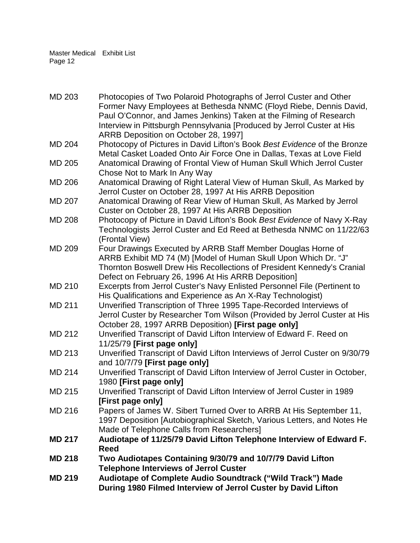| <b>MD 219</b> | Audiotape of Complete Audio Soundtrack ("Wild Track") Made<br>During 1980 Filmed Interview of Jerrol Custer by David Lifton |
|---------------|-----------------------------------------------------------------------------------------------------------------------------|
| <b>MD 218</b> | Two Audiotapes Containing 9/30/79 and 10/7/79 David Lifton<br><b>Telephone Interviews of Jerrol Custer</b>                  |
|               | Reed                                                                                                                        |
| <b>MD 217</b> | Audiotape of 11/25/79 David Lifton Telephone Interview of Edward F.                                                         |
|               | Made of Telephone Calls from Researchers]                                                                                   |
|               | 1997 Deposition [Autobiographical Sketch, Various Letters, and Notes He                                                     |
| MD 216        | Papers of James W. Sibert Turned Over to ARRB At His September 11,                                                          |
|               | [First page only]                                                                                                           |
| MD 215        | Unverified Transcript of David Lifton Interview of Jerrol Custer in 1989                                                    |
|               | 1980 [First page only]                                                                                                      |
| MD 214        | Unverified Transcript of David Lifton Interview of Jerrol Custer in October,                                                |
|               | and 10/7/79 [First page only]                                                                                               |
| MD 213        | Unverified Transcript of David Lifton Interviews of Jerrol Custer on 9/30/79                                                |
|               | 11/25/79 [First page only]                                                                                                  |
| <b>MD 212</b> | Unverified Transcript of David Lifton Interview of Edward F. Reed on                                                        |
|               | October 28, 1997 ARRB Deposition) [First page only]                                                                         |
|               | Jerrol Custer by Researcher Tom Wilson (Provided by Jerrol Custer at His                                                    |
| <b>MD 211</b> | Unverified Transcription of Three 1995 Tape-Recorded Interviews of                                                          |
|               | His Qualifications and Experience as An X-Ray Technologist)                                                                 |
| MD 210        | Excerpts from Jerrol Custer's Navy Enlisted Personnel File (Pertinent to                                                    |
|               | Defect on February 26, 1996 At His ARRB Deposition]                                                                         |
|               | Thornton Boswell Drew His Recollections of President Kennedy's Cranial                                                      |
|               | ARRB Exhibit MD 74 (M) [Model of Human Skull Upon Which Dr. "J"                                                             |
| <b>MD 209</b> | (Frontal View)<br>Four Drawings Executed by ARRB Staff Member Douglas Horne of                                              |
|               | Technologists Jerrol Custer and Ed Reed at Bethesda NNMC on 11/22/63                                                        |
| <b>MD 208</b> | Photocopy of Picture in David Lifton's Book Best Evidence of Navy X-Ray                                                     |
|               | Custer on October 28, 1997 At His ARRB Deposition                                                                           |
| <b>MD 207</b> | Anatomical Drawing of Rear View of Human Skull, As Marked by Jerrol                                                         |
|               | Jerrol Custer on October 28, 1997 At His ARRB Deposition                                                                    |
| <b>MD 206</b> | Anatomical Drawing of Right Lateral View of Human Skull, As Marked by                                                       |
|               | Chose Not to Mark In Any Way                                                                                                |
| MD 205        | Anatomical Drawing of Frontal View of Human Skull Which Jerrol Custer                                                       |
|               | Metal Casket Loaded Onto Air Force One in Dallas, Texas at Love Field                                                       |
| <b>MD 204</b> | Photocopy of Pictures in David Lifton's Book Best Evidence of the Bronze                                                    |
|               | ARRB Deposition on October 28, 1997]                                                                                        |
|               | Interview in Pittsburgh Pennsylvania [Produced by Jerrol Custer at His                                                      |
|               | Paul O'Connor, and James Jenkins) Taken at the Filming of Research                                                          |
|               | Former Navy Employees at Bethesda NNMC (Floyd Riebe, Dennis David,                                                          |
| <b>MD 203</b> | Photocopies of Two Polaroid Photographs of Jerrol Custer and Other                                                          |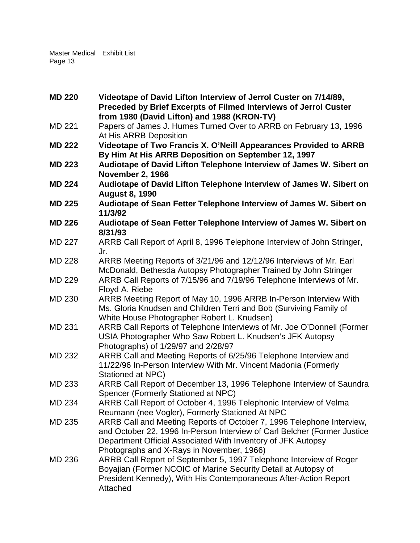| <b>MD 220</b> | Videotape of David Lifton Interview of Jerrol Custer on 7/14/89,                                 |
|---------------|--------------------------------------------------------------------------------------------------|
|               | Preceded by Brief Excerpts of Filmed Interviews of Jerrol Custer                                 |
|               | from 1980 (David Lifton) and 1988 (KRON-TV)                                                      |
| MD 221        | Papers of James J. Humes Turned Over to ARRB on February 13, 1996                                |
|               | At His ARRB Deposition                                                                           |
| <b>MD 222</b> | Videotape of Two Francis X. O'Neill Appearances Provided to ARRB                                 |
|               | By Him At His ARRB Deposition on September 12, 1997                                              |
| <b>MD 223</b> | Audiotape of David Lifton Telephone Interview of James W. Sibert on                              |
|               | <b>November 2, 1966</b>                                                                          |
| <b>MD 224</b> | Audiotape of David Lifton Telephone Interview of James W. Sibert on                              |
|               | <b>August 8, 1990</b>                                                                            |
| <b>MD 225</b> | Audiotape of Sean Fetter Telephone Interview of James W. Sibert on                               |
|               | 11/3/92                                                                                          |
| <b>MD 226</b> | Audiotape of Sean Fetter Telephone Interview of James W. Sibert on                               |
|               | 8/31/93                                                                                          |
| <b>MD 227</b> | ARRB Call Report of April 8, 1996 Telephone Interview of John Stringer,                          |
|               | Jr.                                                                                              |
| <b>MD 228</b> | ARRB Meeting Reports of 3/21/96 and 12/12/96 Interviews of Mr. Earl                              |
|               | McDonald, Bethesda Autopsy Photographer Trained by John Stringer                                 |
| <b>MD 229</b> | ARRB Call Reports of 7/15/96 and 7/19/96 Telephone Interviews of Mr.                             |
|               | Floyd A. Riebe                                                                                   |
| <b>MD 230</b> | ARRB Meeting Report of May 10, 1996 ARRB In-Person Interview With                                |
|               | Ms. Gloria Knudsen and Children Terri and Bob (Surviving Family of                               |
|               | White House Photographer Robert L. Knudsen)                                                      |
| MD 231        | ARRB Call Reports of Telephone Interviews of Mr. Joe O'Donnell (Former                           |
|               | USIA Photographer Who Saw Robert L. Knudsen's JFK Autopsy<br>Photographs) of 1/29/97 and 2/28/97 |
| MD 232        | ARRB Call and Meeting Reports of 6/25/96 Telephone Interview and                                 |
|               | 11/22/96 In-Person Interview With Mr. Vincent Madonia (Formerly                                  |
|               | Stationed at NPC)                                                                                |
| MD 233        | ARRB Call Report of December 13, 1996 Telephone Interview of Saundra                             |
|               | Spencer (Formerly Stationed at NPC)                                                              |
| MD 234        | ARRB Call Report of October 4, 1996 Telephonic Interview of Velma                                |
|               | Reumann (nee Vogler), Formerly Stationed At NPC                                                  |
| MD 235        | ARRB Call and Meeting Reports of October 7, 1996 Telephone Interview,                            |
|               | and October 22, 1996 In-Person Interview of Carl Belcher (Former Justice                         |
|               | Department Official Associated With Inventory of JFK Autopsy                                     |
|               | Photographs and X-Rays in November, 1966)                                                        |
| MD 236        | ARRB Call Report of September 5, 1997 Telephone Interview of Roger                               |
|               | Boyajian (Former NCOIC of Marine Security Detail at Autopsy of                                   |
|               | President Kennedy), With His Contemporaneous After-Action Report                                 |
|               | Attached                                                                                         |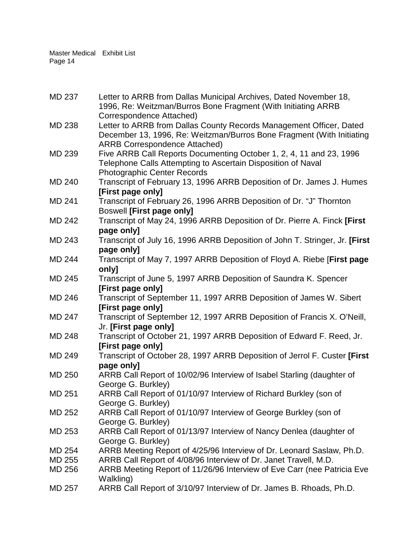| <b>MD 237</b> | Letter to ARRB from Dallas Municipal Archives, Dated November 18,<br>1996, Re: Weitzman/Burros Bone Fragment (With Initiating ARRB                                                   |
|---------------|--------------------------------------------------------------------------------------------------------------------------------------------------------------------------------------|
|               | Correspondence Attached)                                                                                                                                                             |
| <b>MD 238</b> | Letter to ARRB from Dallas County Records Management Officer, Dated<br>December 13, 1996, Re: Weitzman/Burros Bone Fragment (With Initiating<br><b>ARRB Correspondence Attached)</b> |
| MD 239        | Five ARRB Call Reports Documenting October 1, 2, 4, 11 and 23, 1996<br>Telephone Calls Attempting to Ascertain Disposition of Naval<br><b>Photographic Center Records</b>            |
| <b>MD 240</b> | Transcript of February 13, 1996 ARRB Deposition of Dr. James J. Humes                                                                                                                |
|               | [First page only]                                                                                                                                                                    |
| MD 241        | Transcript of February 26, 1996 ARRB Deposition of Dr. "J" Thornton<br><b>Boswell [First page only]</b>                                                                              |
| <b>MD 242</b> | Transcript of May 24, 1996 ARRB Deposition of Dr. Pierre A. Finck [First                                                                                                             |
| <b>MD 243</b> | page only]<br>Transcript of July 16, 1996 ARRB Deposition of John T. Stringer, Jr. [First]                                                                                           |
|               |                                                                                                                                                                                      |
| <b>MD 244</b> | page only]<br>Transcript of May 7, 1997 ARRB Deposition of Floyd A. Riebe [First page                                                                                                |
|               | only]                                                                                                                                                                                |
| <b>MD 245</b> | Transcript of June 5, 1997 ARRB Deposition of Saundra K. Spencer                                                                                                                     |
| <b>MD 246</b> | [First page only]<br>Transcript of September 11, 1997 ARRB Deposition of James W. Sibert                                                                                             |
|               | [First page only]                                                                                                                                                                    |
| <b>MD 247</b> | Transcript of September 12, 1997 ARRB Deposition of Francis X. O'Neill,                                                                                                              |
|               | Jr. [First page only]                                                                                                                                                                |
| <b>MD 248</b> | Transcript of October 21, 1997 ARRB Deposition of Edward F. Reed, Jr.<br>[First page only]                                                                                           |
| MD 249        | Transcript of October 28, 1997 ARRB Deposition of Jerrol F. Custer [First                                                                                                            |
|               | page only]                                                                                                                                                                           |
| <b>MD 250</b> | ARRB Call Report of 10/02/96 Interview of Isabel Starling (daughter of                                                                                                               |
| MD 251        | George G. Burkley)<br>ARRB Call Report of 01/10/97 Interview of Richard Burkley (son of                                                                                              |
|               | George G. Burkley)                                                                                                                                                                   |
| MD 252        | ARRB Call Report of 01/10/97 Interview of George Burkley (son of                                                                                                                     |
|               | George G. Burkley)                                                                                                                                                                   |
| MD 253        | ARRB Call Report of 01/13/97 Interview of Nancy Denlea (daughter of                                                                                                                  |
|               | George G. Burkley)                                                                                                                                                                   |
| MD 254        | ARRB Meeting Report of 4/25/96 Interview of Dr. Leonard Saslaw, Ph.D.                                                                                                                |
| <b>MD 255</b> | ARRB Call Report of 4/08/96 Interview of Dr. Janet Travell, M.D.                                                                                                                     |
| MD 256        | ARRB Meeting Report of 11/26/96 Interview of Eve Carr (nee Patricia Eve<br>Walkling)                                                                                                 |
| MD 257        | ARRB Call Report of 3/10/97 Interview of Dr. James B. Rhoads, Ph.D.                                                                                                                  |